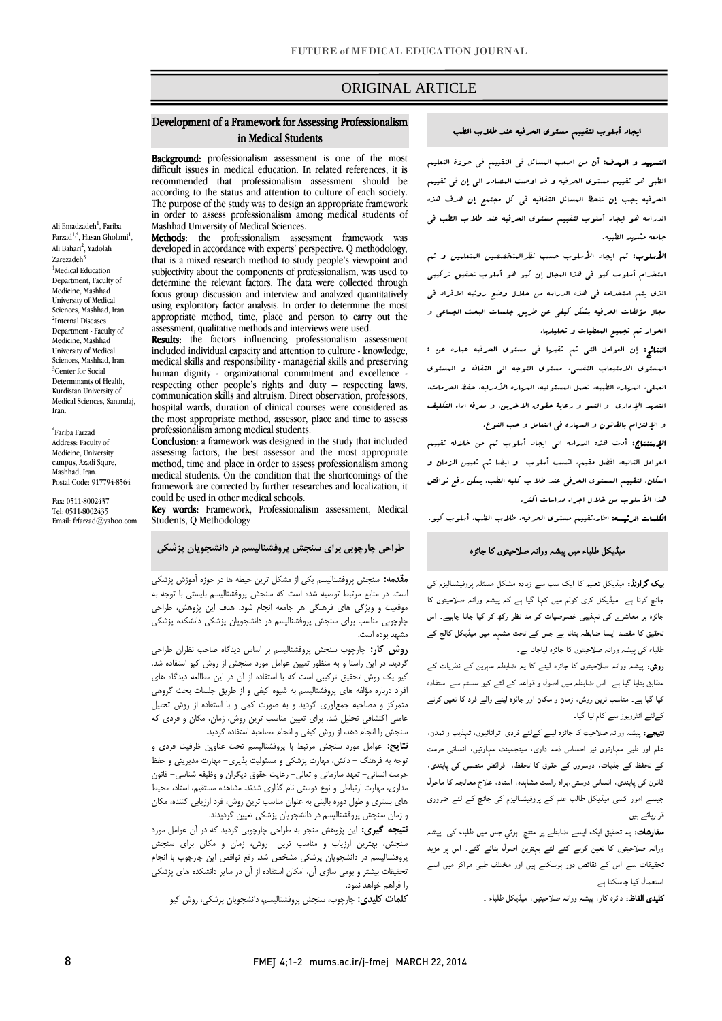# ORIGINAL ARTICLE

### Development of a Framework for Assessing Professionalism in Medical Students

Background: professionalism assessment is one of the most difficult issues in medical education. In related references, it is recommended that professionalism assessment should be according to the status and attention to culture of each society. The purpose of the study was to design an appropriate framework in order to assess professionalism among medical students of Mashhad University of Medical Sciences.

Methods: the professionalism assessment framework was developed in accordance with experts' perspective. Q methodology, that is a mixed research method to study people's viewpoint and subjectivity about the components of professionalism, was used to determine the relevant factors. The data were collected through focus group discussion and interview and analyzed quantitatively using exploratory factor analysis. In order to determine the most appropriate method, time, place and person to carry out the assessment, qualitative methods and interviews were used.

Results: the factors influencing professionalism assessment included individual capacity and attention to culture - knowledge, medical skills and responsibility - managerial skills and preserving human dignity - organizational commitment and excellence respecting other people's rights and duty – respecting laws, communication skills and altruism. Direct observation, professors, hospital wards, duration of clinical courses were considered as the most appropriate method, assessor, place and time to assess professionalism among medical students.

Conclusion: a framework was designed in the study that included assessing factors, the best assessor and the most appropriate method, time and place in order to assess professionalism among medical students. On the condition that the shortcomings of the framework are corrected by further researches and localization, it could be used in other medical schools.

Key words: Framework, Professionalism assessment, Medical Students, Q Methodology

# **طراحی چارچوبی برای سنجش پروفشنالیسم در دانشجویان پزشکی**

**مقدمه:** سنجش پروفشنالیسم یکی از مشکل ترین حیطه ها در حوزه آموزش پزشکی است. در منابع مرتبط توصیه شده است که سنجش پروفشنالیسم بایستی با توجه به موقعیت و ویژگی های فرهنگی هر جامعه انجام شود. هدف این پژوهش، طراحی چارچوبی مناسب برای سنجش پروفشنالیسم در دانشجویان پزشکی دانشکده پزشکی مشهد بوده است.

**روش کار:** چارچوب سنجش پروفشنالیسم بر اساس دیدگاه صاحب نظران طراحی گردید. در این راستا و به منظور تعیین عوامل مورد سنجش از روش کیو استفاده شد. کیو یک روش تحقیق ترکیبی است که با استفاده از آن در این مطالعه دیدگاه های افراد درباره مؤلفه های پروفشنالیسم به شیوه کیفی و از طریق جلسات بحث گروهی متمرکز و مصاحبه جمعآوری گردید و به صورت کمی و با استفاده از روش تحلیل عاملی اکتشافی تحلیل شد. برای تعیین مناسب ترین روش، زمان، مکان و فردی که سنجش را انجام دهد، از روش کیفی و انجام مصاحبه استفاده گردید.

**نتایج:** عوامل مورد سنجش مرتبط با پروفشنالیسم تحت عناوین ظرفیت فردی و توجه به فرهنگ - دانش، مهارت پزشکی و مسئولیت پذیری- مهارت مدیریتی و حفظ حرمت انسانی- تعهد سازمانی و تعالی- رعایت حقوق دیگران و وظیفه شناسی- قانون مداری، مهارت ارتباطی و نوع دوستی نام گذاری شدند. مشاهده مستقیم، استاد، محیط های بستری و طول دوره بالینی به عنوان مناسب ترین روش، فرد ارزیابی کننده، مکان و زمان سنجش پروفشنالیسم در دانشجویان پزشکی تعیین گردیدند.

**نتیجه گیری:** این پژوهش منجر به طراحی چارچوبی گردید که در آن عوامل مورد سنجش، بهترین ارزیاب و مناسب ترین روش، زمان و مکان برای سنجش پروفشنالیسم در دانشجویان پزشکی مشخص شد. رفع نواقص این چارچوب با انجام تحقیقات بیشتر و بومی سازی آن، امکان استفاده از آن در سایر دانشکده های پزشکی را فراهم خواهد نمود.

**کلمات کلیدی:** چارچوب، سنجش پروفشنالیسم، دانشجویان پزشکی، روش کیو

#### ایجاد أسلوب لتقییم مستوی الحرفیه عند طالب الطب

التمهید و الهدف: أن من اصعب المسائل في التقییم في حوزة التعلیم الطبي هو تقییم مستوی الحرفیه و قد اوصت المصادر الي إن في تقییم الحرفیه یجب إن تلحظ المسائل الثقافیه في کل مجتمع إن هدف هذه الدراسه هو ایجاد أسلوب لتقییم مستوی الحرفیه عند طالب الطب في جامعه مشهد الطبیه.

ا**لأسلوب:** تم ایجاد الأسلوب حسب نظرال*متخصصی*ن المتعلمین و تم استخدام أسلوب کیو في هذا المجال إن کیو هو أسلوب تحقیق ترکیبي الذی یتم استخدامه في هذه الدراسه من خالل وضع روئیه االفراد في مجال مؤلفات الحرفیه بشکل کیفي عن طریق جلسات البحث الجماعي و الحوار تم تجمیع المعطیات و تحلیلها.

النتائج: إن العوامل التي تم تقیها في مستوی الحرفیه عباره عن : المستوی االستیعاب النفسي، مستوی التوجه الي الثقافه و المستوی العملي، المهاره الطبیه، تحمل المسئولیه، المهاره األدرایه، حفظ الحرمات، التعهد الإداری و النسو و رعایة حقوق الاخرین، و معرفه اداء التکلیف و اإللتزام بالقانون و المهاره في التعامل و حب النوع.

اإلستنتاج: أدت هذه الدراسه الي ایجاد أسلوب تم من خالله تقییم العوامل التالیه، افضل مقیم، انسب أسلوب و ایضا تم تعیین الزمان و المکان. لتقییم المستوی الحرفي عند طالب کلیه الطب، یمکن رفع نواقص هذا الأسلوب من خلال اجراء دراسات اکثر.

الکلمات الرئیسه: اطار،تقییم مستوی الحرفیه، طالب الطب، أسلوب کیو.

### میڈیکل طلباء میں پیشہ ورانہ صلاحیتوں کا جائزہ

بیک گراونڈ: میڈیکل تعلیم کا ایک سب سے زیادہ مشکل مسئلہ پروفیشنالیزم کی جانچ کرنا ہے۔ میڈیکل کری کولم میں کہا گیا ہے کہ پیشہ ورانہ صلاحیتوں کا جائزہ ہر معاشرے کی تہذیبی خصوصیات کو مد نظر رکھ کر کیا جانا چاہیے۔ اس تحقیق کا مقصد ایسا ضابطہ بنانا ہے جس کے تحت مشہد میں میڈیکل کالج کے طلباء کی پیشہ ورانہ صلاحیتوں کا جائزہ لیاجانا ہے۔

روش: پیشہ ورانہ صلاحیتوں کا جائزہ لینے کا یہ ضابطہ ماہرین کے نظریات کے مطابق بنایا گيا ہے۔ اس ضابطہ میں اصول و قواعد کے لئے کیو سسٹم سے استفادہ کیا گیا ہے۔ مناسب ترین روش، زمان و مکان اور جائزہ لینے والے فرد کا تعین کرنے کےلئے انٹرویوز سے کام لیا گيا۔

نتیجے: پیشہ ورانہ صلاحیت کا جائزہ لینے کےلئے فردی توانائیوں، تہذیب و تمدن، علم اور طبی مہارتوں نیز احساس ذمہ داری، مینجمینٹ مہارتیں، انسانی حرمت کے تحفظ کے جذبات، دوسروں کے حقوق کا تحفظ، فرائض منصبی کی پابندی، قانون کی پابندی، انسانی دوستی،براہ راست مشاہدہ، استاد، علاج معالجہ کا ماحول جیسے امور کسی میڈیکل طالب علم کے پروفیشنالیزم کی جانچ کے لئے ضروری قرارپائے ہیں۔

**سفارشات:** یہ تحقیق ایک ایسے ضابطے پر منتج ہوئي جس میں طلباء کی پیشہ ورانہ صلاحیتوں کا تعین کرنے کئے لئے بہترین اصول بنائے گئے۔ اس پر مزید تحقیقات سے اس کے نقائص دور ہوسکتے ہیں اور مختلف طبی مراکز میں اسے استعمال کیا جاسکتا ہے۔

کلیدی الفاظ: دائرہ کار، پیشہ ورانہ صلاحیتیں، میڈیکل طلباء ۔

Ali Emadzadeh<sup>1</sup>, Fariba Farzad<sup>1,\*</sup>, Hasan Gholami<sup>1</sup>, Ali Bahari<sup>2</sup>, Yadolah Zarezadeh<sup>3</sup> <sup>1</sup>Medical Education Department, Faculty of Medicine, Mashhad University of Medical Sciences, Mashhad, Iran. 2 Internal Diseases Department - Faculty of Medicine, Mashhad University of Medical Sciences, Mashhad, Iran. <sup>3</sup>Center for Social Determinants of Health, Kurdistan University of Medical Sciences, Sanandaj,

Iran.

\* Fariba Farzad Address: Faculty of Medicine, University campus, Azadi Squre, Mashhad, Iran. Postal Code: 917794-8564 Fax: 0511-8002437 Tel: 0511-8002435 Email: frfarzad@yahoo.com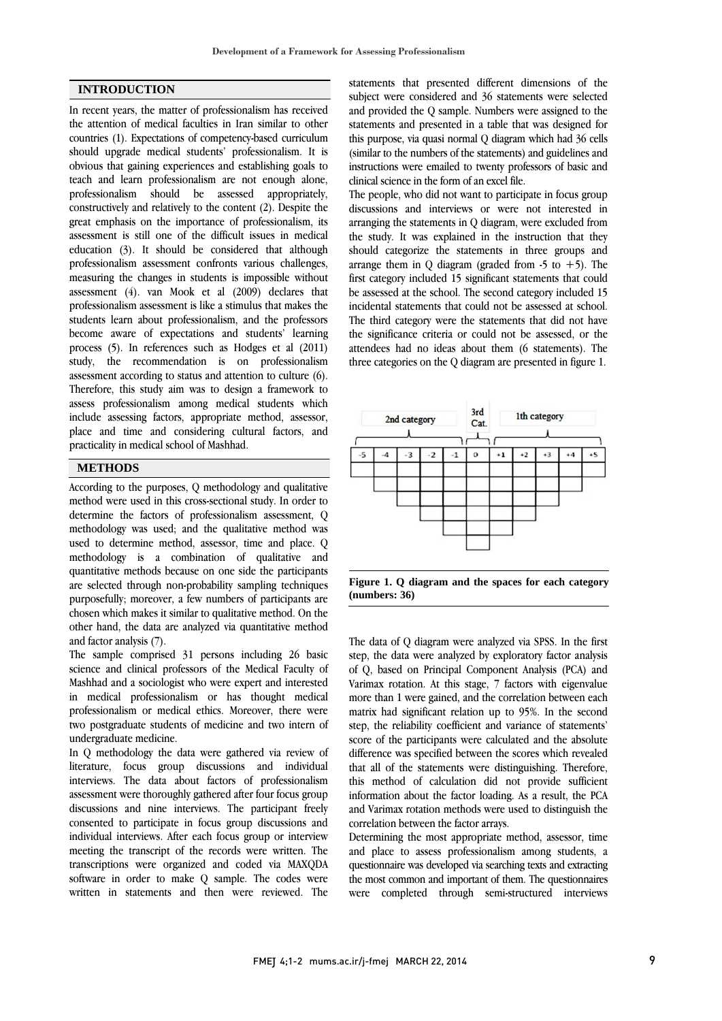### **INTRODUCTION**

In recent years, the matter of professionalism has received the attention of medical faculties in Iran similar to other countries (1). Expectations of competency-based curriculum should upgrade medical students' professionalism. It is obvious that gaining experiences and establishing goals to teach and learn professionalism are not enough alone, professionalism should be assessed appropriately, constructively and relatively to the content (2). Despite the great emphasis on the importance of professionalism, its assessment is still one of the difficult issues in medical education (3). It should be considered that although professionalism assessment confronts various challenges, measuring the changes in students is impossible without assessment (4). van Mook et al (2009) declares that professionalism assessment is like a stimulus that makes the students learn about professionalism, and the professors become aware of expectations and students' learning process (5). In references such as Hodges et al (2011) study, the recommendation is on professionalism assessment according to status and attention to culture (6). Therefore, this study aim was to design a framework to assess professionalism among medical students which include assessing factors, appropriate method, assessor, place and time and considering cultural factors, and practicality in medical school of Mashhad.

### **METHODS**

According to the purposes, Q methodology and qualitative method were used in this cross-sectional study. In order to determine the factors of professionalism assessment, Q methodology was used; and the qualitative method was used to determine method, assessor, time and place. Q methodology is a combination of qualitative and quantitative methods because on one side the participants are selected through non-probability sampling techniques purposefully; moreover, a few numbers of participants are chosen which makes it similar to qualitative method. On the other hand, the data are analyzed via quantitative method and factor analysis (7).

The sample comprised 31 persons including 26 basic science and clinical professors of the Medical Faculty of Mashhad and a sociologist who were expert and interested in medical professionalism or has thought medical professionalism or medical ethics. Moreover, there were two postgraduate students of medicine and two intern of undergraduate medicine.

In Q methodology the data were gathered via review of literature, focus group discussions and individual interviews. The data about factors of professionalism assessment were thoroughly gathered after four focus group discussions and nine interviews. The participant freely consented to participate in focus group discussions and individual interviews. After each focus group or interview meeting the transcript of the records were written. The transcriptions were organized and coded via MAXQDA software in order to make Q sample. The codes were written in statements and then were reviewed. The

statements that presented different dimensions of the subject were considered and 36 statements were selected and provided the Q sample. Numbers were assigned to the statements and presented in a table that was designed for this purpose, via quasi normal Q diagram which had 36 cells (similar to the numbers of the statements) and guidelines and instructions were emailed to twenty professors of basic and clinical science in the form of an excel file.

The people, who did not want to participate in focus group discussions and interviews or were not interested in arranging the statements in Q diagram, were excluded from the study. It was explained in the instruction that they should categorize the statements in three groups and arrange them in Q diagram (graded from  $-5$  to  $+5$ ). The first category included 15 significant statements that could be assessed at the school. The second category included 15 incidental statements that could not be assessed at school. The third category were the statements that did not have the significance criteria or could not be assessed, or the attendees had no ideas about them (6 statements). The three categories on the Q diagram are presented in figure 1.



**Figure 1. Q diagram and the spaces for each category (numbers: 36)**

The data of Q diagram were analyzed via SPSS. In the first step, the data were analyzed by exploratory factor analysis of Q, based on Principal Component Analysis (PCA) and Varimax rotation. At this stage, 7 factors with eigenvalue more than 1 were gained, and the correlation between each matrix had significant relation up to 95%. In the second step, the reliability coefficient and variance of statements' score of the participants were calculated and the absolute difference was specified between the scores which revealed that all of the statements were distinguishing. Therefore, this method of calculation did not provide sufficient information about the factor loading. As a result, the PCA and Varimax rotation methods were used to distinguish the correlation between the factor arrays.

Determining the most appropriate method, assessor, time and place to assess professionalism among students, a questionnaire was developed via searching texts and extracting the most common and important of them. The questionnaires were completed through semi-structured interviews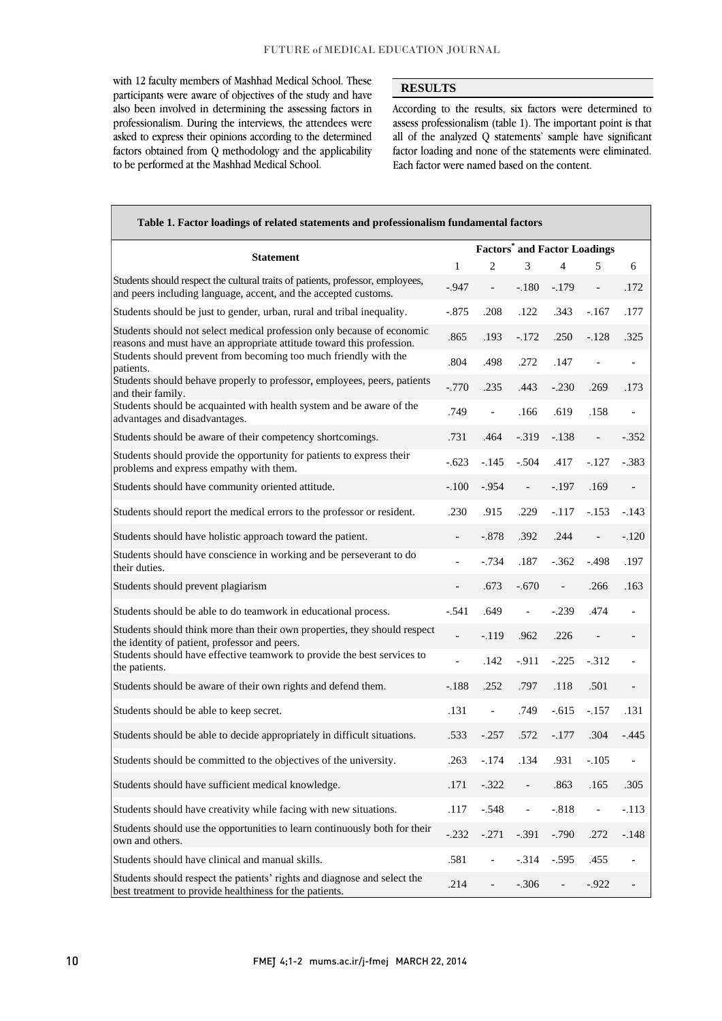with 12 faculty members of Mashhad Medical School. These participants were aware of objectives of the study and have also been involved in determining the assessing factors in professionalism. During the interviews, the attendees were asked to express their opinions according to the determined factors obtained from Q methodology and the applicability to be performed at the Mashhad Medical School.

Г

### **RESULTS**

According to the results, six factors were determined to assess professionalism (table 1). The important point is that all of the analyzed Q statements' sample have significant factor loading and none of the statements were eliminated. Each factor were named based on the content.

| Table 1. Factor loadings of related statements and professionalism fundamental factors                                                            |                                                |                |                          |                   |                          |                          |  |  |  |  |
|---------------------------------------------------------------------------------------------------------------------------------------------------|------------------------------------------------|----------------|--------------------------|-------------------|--------------------------|--------------------------|--|--|--|--|
| <b>Statement</b>                                                                                                                                  | <b>Factors<sup>*</sup></b> and Factor Loadings |                |                          |                   |                          |                          |  |  |  |  |
|                                                                                                                                                   | $\mathbf{1}$                                   | 2              | 3                        | 4                 | 5                        | 6                        |  |  |  |  |
| Students should respect the cultural traits of patients, professor, employees,<br>and peers including language, accent, and the accepted customs. | $-0.947$                                       | $\blacksquare$ | $-.180$                  | $-.179$           | $\overline{a}$           | .172                     |  |  |  |  |
| Students should be just to gender, urban, rural and tribal inequality.                                                                            | $-.875$                                        | .208           | .122                     | .343              | $-.167$                  | .177                     |  |  |  |  |
| Students should not select medical profession only because of economic<br>reasons and must have an appropriate attitude toward this profession.   | .865                                           | .193           | $-.172$                  | .250              | $-.128$                  | .325                     |  |  |  |  |
| Students should prevent from becoming too much friendly with the<br>patients.                                                                     | .804                                           | .498           | .272                     | .147              | $\overline{\phantom{0}}$ |                          |  |  |  |  |
| Students should behave properly to professor, employees, peers, patients<br>and their family.                                                     | $-.770$                                        | .235           | .443                     | $-.230$           | .269                     | .173                     |  |  |  |  |
| Students should be acquainted with health system and be aware of the<br>advantages and disadvantages.                                             | .749                                           | $\overline{a}$ | .166                     | .619              | .158                     |                          |  |  |  |  |
| Students should be aware of their competency shortcomings.                                                                                        | .731                                           | .464           | $-.319$                  | $-.138$           | $\qquad \qquad -$        | $-.352$                  |  |  |  |  |
| Students should provide the opportunity for patients to express their<br>problems and express empathy with them.                                  | $-.623$                                        | $-.145$        | $-.504$                  | .417              | $-.127$                  | $-383$                   |  |  |  |  |
| Students should have community oriented attitude.                                                                                                 | $-.100$                                        | $-.954$        | $\qquad \qquad -$        | $-.197$           | .169                     | $\overline{\phantom{a}}$ |  |  |  |  |
| Students should report the medical errors to the professor or resident.                                                                           | .230                                           | .915           | .229                     | $-.117$           | $-.153$                  | $-.143$                  |  |  |  |  |
| Students should have holistic approach toward the patient.                                                                                        |                                                | $-.878$        | .392                     | .244              | $\overline{a}$           | $-.120$                  |  |  |  |  |
| Students should have conscience in working and be perseverant to do<br>their duties.                                                              |                                                | $-0.734$       | .187                     | $-.362$           | $-.498$                  | .197                     |  |  |  |  |
| Students should prevent plagiarism                                                                                                                |                                                | .673           | $-.670$                  | $\qquad \qquad -$ | .266                     | .163                     |  |  |  |  |
| Students should be able to do teamwork in educational process.                                                                                    | $-.541$                                        | .649           | $\frac{1}{2}$            | $-.239$           | .474                     | $\overline{\phantom{m}}$ |  |  |  |  |
| Students should think more than their own properties, they should respect<br>the identity of patient, professor and peers.                        |                                                | $-.119$        | .962                     | .226              | $\overline{a}$           |                          |  |  |  |  |
| Students should have effective teamwork to provide the best services to<br>the patients.                                                          | $\overline{a}$                                 | .142           | $-.911$                  | $-.225$           | $-.312$                  |                          |  |  |  |  |
| Students should be aware of their own rights and defend them.                                                                                     | $-.188$                                        | .252           | .797                     | .118              | .501                     | $\overline{\phantom{a}}$ |  |  |  |  |
| Students should be able to keep secret.                                                                                                           | .131                                           | $\blacksquare$ | .749                     | $-.615$           | $-.157$                  | .131                     |  |  |  |  |
| Students should be able to decide appropriately in difficult situations.                                                                          | .533                                           | $-.257$        | .572                     | $-.177$           | .304                     | $-.445$                  |  |  |  |  |
| Students should be committed to the objectives of the university.                                                                                 | .263                                           | $-174$         | .134                     | .931              | $-.105$                  |                          |  |  |  |  |
| Students should have sufficient medical knowledge.                                                                                                | .171                                           | $-.322$        |                          | .863              | .165                     | .305                     |  |  |  |  |
| Students should have creativity while facing with new situations.                                                                                 | .117                                           | $-.548$        | $\overline{\phantom{0}}$ | $-.818$           | $\qquad \qquad -$        | $-.113$                  |  |  |  |  |
| Students should use the opportunities to learn continuously both for their<br>own and others.                                                     | $-.232$                                        | $-.271$        | $-.391$                  | $-.790$           | .272                     | $-.148$                  |  |  |  |  |
| Students should have clinical and manual skills.                                                                                                  | .581                                           |                | $-.314$                  | $-.595$           | .455                     |                          |  |  |  |  |
| Students should respect the patients' rights and diagnose and select the<br>best treatment to provide healthiness for the patients.               | .214                                           |                | $-.306$                  |                   | $-.922$                  |                          |  |  |  |  |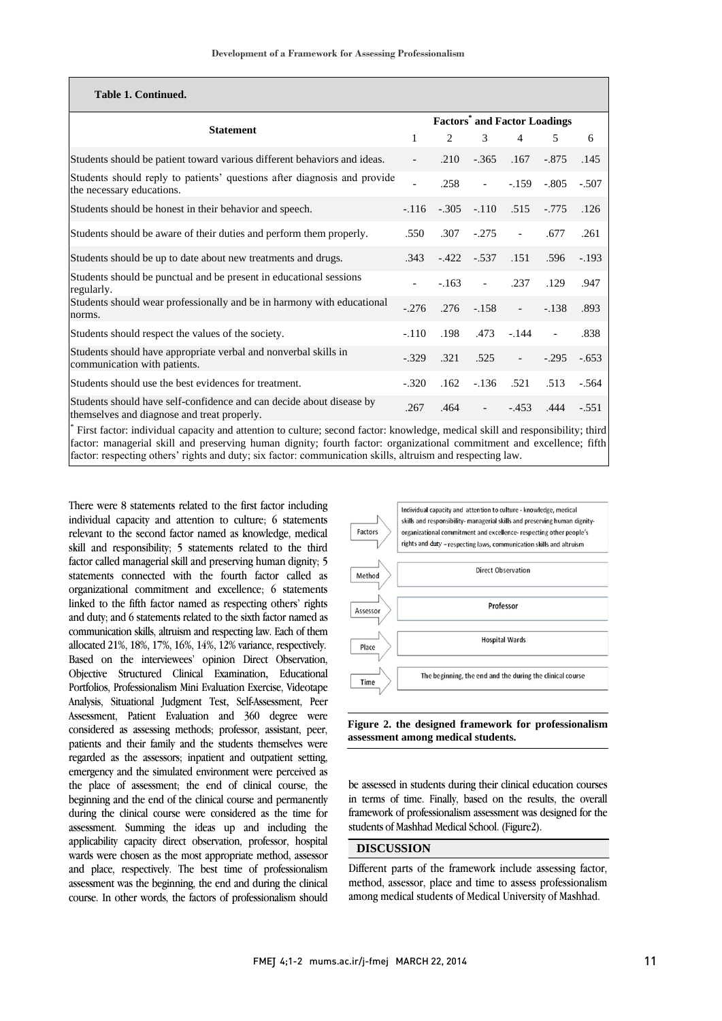| Table 1. Continued.                                                                                                                                                                                                                                    |                                                |                |                        |                          |                          |         |  |  |
|--------------------------------------------------------------------------------------------------------------------------------------------------------------------------------------------------------------------------------------------------------|------------------------------------------------|----------------|------------------------|--------------------------|--------------------------|---------|--|--|
| <b>Statement</b>                                                                                                                                                                                                                                       | <b>Factors<sup>*</sup></b> and Factor Loadings |                |                        |                          |                          |         |  |  |
|                                                                                                                                                                                                                                                        | 1                                              | $\mathfrak{D}$ | 3                      | $\overline{4}$           | 5                        | 6       |  |  |
| Students should be patient toward various different behaviors and ideas.                                                                                                                                                                               |                                                | .210           | $-365$                 | .167                     | $-875$                   | .145    |  |  |
| Students should reply to patients' questions after diagnosis and provide<br>the necessary educations.                                                                                                                                                  |                                                | .258           | $\equiv$               | $-159$                   | $-.805$                  | $-.507$ |  |  |
| Students should be honest in their behavior and speech.                                                                                                                                                                                                | $-116$                                         | $-.305$        | $-.110$                | .515                     | $-0.775$                 | .126    |  |  |
| Students should be aware of their duties and perform them properly.                                                                                                                                                                                    | .550                                           | .307           | $-275$                 | $\overline{\phantom{a}}$ | .677                     | .261    |  |  |
| Students should be up to date about new treatments and drugs.                                                                                                                                                                                          | 343                                            | $-422$         | $-.537$                | .151                     | .596                     | $-.193$ |  |  |
| Students should be punctual and be present in educational sessions<br>regularly.                                                                                                                                                                       |                                                | $-163$         | $\Delta \sim 10^{-11}$ | .237                     | .129                     | .947    |  |  |
| Students should wear professionally and be in harmony with educational<br>norms.                                                                                                                                                                       | $-276$                                         | .276           | $-158$                 | $\omega_{\rm{max}}$      | $-.138$                  | .893    |  |  |
| Students should respect the values of the society.                                                                                                                                                                                                     | $-.110$                                        | .198           | .473                   | $-144$                   | $\overline{\phantom{a}}$ | .838    |  |  |
| Students should have appropriate verbal and nonverbal skills in<br>communication with patients.                                                                                                                                                        | $-329$                                         | .321           | .525                   | $\sim$                   | $-295$                   | $-653$  |  |  |
| Students should use the best evidences for treatment.                                                                                                                                                                                                  | $-320$                                         | .162           | $-136$                 | .521                     | .513                     | $-564$  |  |  |
| Students should have self-confidence and can decide about disease by<br>themselves and diagnose and treat properly.                                                                                                                                    | .267                                           | .464           | $\sim$                 | $-453$                   | .444                     | $-551$  |  |  |
| First factor: individual capacity and attention to culture; second factor: knowledge, medical skill and responsibility; third<br>factor: managerial skill and preserving human dignity; fourth factor: organizational commitment and excellence; fifth |                                                |                |                        |                          |                          |         |  |  |

factor: respecting others' rights and duty; six factor: communication skills, altruism and respecting law.

There were 8 statements related to the first factor including individual capacity and attention to culture; 6 statements relevant to the second factor named as knowledge, medical skill and responsibility; 5 statements related to the third factor called managerial skill and preserving human dignity; 5 statements connected with the fourth factor called as organizational commitment and excellence; 6 statements linked to the fifth factor named as respecting others' rights and duty; and 6 statements related to the sixth factor named as communication skills, altruism and respecting law. Each of them allocated 21%, 18%, 17%, 16%, 14%, 12% variance, respectively. Based on the interviewees' opinion Direct Observation, Objective Structured Clinical Examination, Educational Portfolios, Professionalism Mini Evaluation Exercise, Videotape Analysis, Situational Judgment Test, Self-Assessment, Peer Assessment, Patient Evaluation and 360 degree were considered as assessing methods; professor, assistant, peer, patients and their family and the students themselves were regarded as the assessors; inpatient and outpatient setting, emergency and the simulated environment were perceived as the place of assessment; the end of clinical course, the beginning and the end of the clinical course and permanently during the clinical course were considered as the time for assessment. Summing the ideas up and including the applicability capacity direct observation, professor, hospital wards were chosen as the most appropriate method, assessor and place, respectively. The best time of professionalism assessment was the beginning, the end and during the clinical course. In other words, the factors of professionalism should



#### **Figure 2. the designed framework for professionalism assessment among medical students.**

be assessed in students during their clinical education courses in terms of time. Finally, based on the results, the overall framework of professionalism assessment was designed for the students of Mashhad Medical School. (Figure2).

# **DISCUSSION**

Different parts of the framework include assessing factor, method, assessor, place and time to assess professionalism among medical students of Medical University of Mashhad.